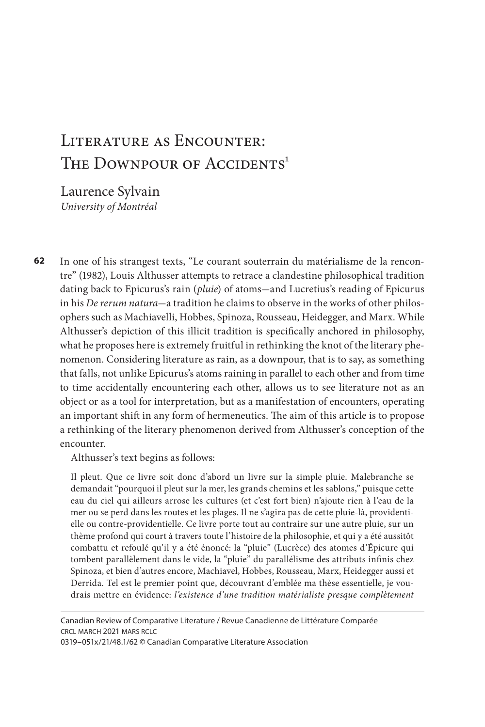# Literature as Encounter: THE DOWNPOUR OF ACCIDENTS<sup>1</sup>

Laurence Sylvain *University of Montréal* 

**62** In one of his strangest texts, "Le courant souterrain du matérialisme de la rencontre" (1982), Louis Althusser attempts to retrace a clandestine philosophical tradition dating back to Epicurus's rain (*pluie*) of atoms-and Lucretius's reading of Epicurus in his *De rerum natura*-a tradition he claims to observe in the works of other philosophers such as Machiavelli, Hobbes, Spinoza, Rousseau, Heidegger, and Marx. While Althusser's depiction of this illicit tradition is specifically anchored in philosophy, what he proposes here is extremely fruitful in rethinking the knot of the literary phenomenon. Considering literature as rain, as a downpour, that is to say, as something that falls, not unlike Epicurus's atoms raining in parallel to each other and from time to time accidentally encountering each other, allows us to see literature not as an object or as a tool for interpretation, but as a manifestation of encounters, operating an important shift in any form of hermeneutics. The aim of this article is to propose a rethinking of the literary phenomenon derived from Althusser's conception of the encounter.

Althusser's text begins as follows:

Il pleut. Que ce livre soit donc d'abord un livre sur la simple pluie. Malebranche se demandait "pourquoi il pleut sur la mer, les grands chemins et les sablons," puisque cette eau du ciel qui ailleurs arrose les cultures (et c'est fort bien) n'ajoute rien à l'eau de la mer ou se perd dans les routes et les plages. Il ne s'agira pas de cette pluie-là, providentielle ou contre-providentielle. Ce livre porte tout au contraire sur une autre pluie, sur un thème profond qui court à travers toute l'histoire de la philosophie, et qui y a été aussitôt combattu et refoulé qu'il y a été énoncé: la "pluie" (Lucrèce) des atomes d'Épicure qui tombent parallèlement dans le vide, la "pluie" du parallélisme des attributs infinis chez Spinoza, et bien d'autres encore, Machiavel, Hobbes, Rousseau, Marx, Heidegger aussi et Derrida. Tel est le premier point que, découvrant d'emblée ma thèse essentielle, je voudrais mettre en évidence: *l'existence d'une tradition matérialiste presque complètement* 

0319–051x/21/48.1/62 © Canadian Comparative Literature Association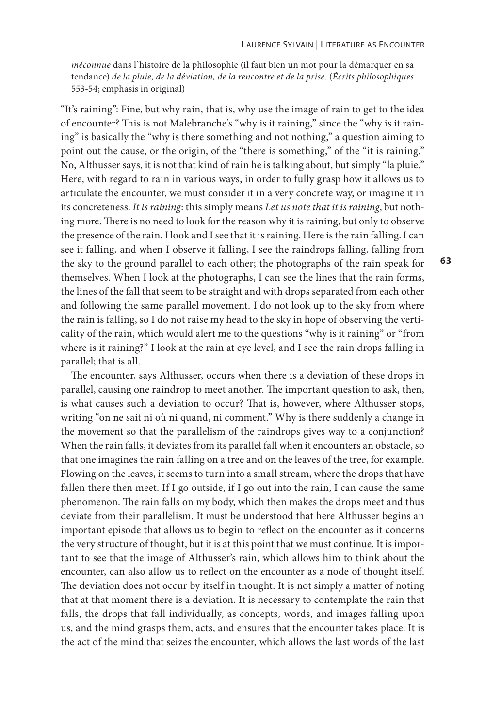*méconnue* dans l'histoire de la philosophie (il faut bien un mot pour la démarquer en sa tendance) *de la pluie, de la déviation, de la rencontre et de la prise.* (*Écrits philosophiques* 553-54; emphasis in original)

"It's raining": Fine, but why rain, that is, why use the image of rain to get to the idea of encounter? This is not Malebranche's "why is it raining," since the "why is it raining" is basically the "why is there something and not nothing," a question aiming to point out the cause, or the origin, of the "there is something," of the "it is raining." No, Althusser says, it is not that kind of rain he is talking about, but simply "la pluie." Here, with regard to rain in various ways, in order to fully grasp how it allows us to articulate the encounter, we must consider it in a very concrete way, or imagine it in its concreteness. *It is raining*: this simply means *Let us note that it is raining*, but nothing more. There is no need to look for the reason why it is raining, but only to observe the presence of the rain. I look and I see that it is raining. Here is the rain falling. I can see it falling, and when I observe it falling, I see the raindrops falling, falling from the sky to the ground parallel to each other; the photographs of the rain speak for themselves. When I look at the photographs, I can see the lines that the rain forms, the lines of the fall that seem to be straight and with drops separated from each other and following the same parallel movement. I do not look up to the sky from where the rain is falling, so I do not raise my head to the sky in hope of observing the verticality of the rain, which would alert me to the questions "why is it raining" or "from where is it raining?" I look at the rain at eye level, and I see the rain drops falling in parallel; that is all.

The encounter, says Althusser, occurs when there is a deviation of these drops in parallel, causing one raindrop to meet another. The important question to ask, then, is what causes such a deviation to occur? That is, however, where Althusser stops, writing "on ne sait ni où ni quand, ni comment." Why is there suddenly a change in the movement so that the parallelism of the raindrops gives way to a conjunction? When the rain falls, it deviates from its parallel fall when it encounters an obstacle, so that one imagines the rain falling on a tree and on the leaves of the tree, for example. Flowing on the leaves, it seems to turn into a small stream, where the drops that have fallen there then meet. If I go outside, if I go out into the rain, I can cause the same phenomenon. The rain falls on my body, which then makes the drops meet and thus deviate from their parallelism. It must be understood that here Althusser begins an important episode that allows us to begin to reflect on the encounter as it concerns the very structure of thought, but it is at this point that we must continue. It is important to see that the image of Althusser's rain, which allows him to think about the encounter, can also allow us to reflect on the encounter as a node of thought itself. The deviation does not occur by itself in thought. It is not simply a matter of noting that at that moment there is a deviation. It is necessary to contemplate the rain that falls, the drops that fall individually, as concepts, words, and images falling upon us, and the mind grasps them, acts, and ensures that the encounter takes place. It is the act of the mind that seizes the encounter, which allows the last words of the last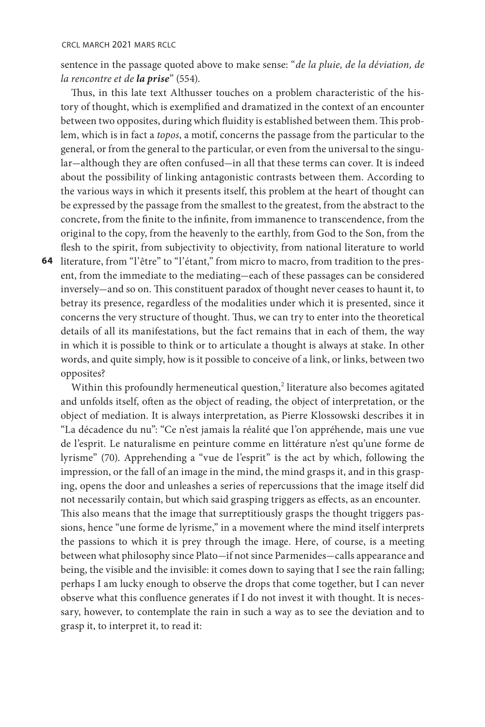sentence in the passage quoted above to make sense: "*de la pluie, de la déviation, de la rencontre et de la prise*" (554).

Thus, in this late text Althusser touches on a problem characteristic of the history of thought, which is exemplified and dramatized in the context of an encounter between two opposites, during which fluidity is established between them. This problem, which is in fact a *topos*, a motif, concerns the passage from the particular to the general, or from the general to the particular, or even from the universal to the singular-although they are often confused-in all that these terms can cover. It is indeed about the possibility of linking antagonistic contrasts between them. According to the various ways in which it presents itself, this problem at the heart of thought can be expressed by the passage from the smallest to the greatest, from the abstract to the concrete, from the finite to the infinite, from immanence to transcendence, from the original to the copy, from the heavenly to the earthly, from God to the Son, from the flesh to the spirit, from subjectivity to objectivity, from national literature to world

**64**  literature, from "l'être" to "l'étant," from micro to macro, from tradition to the present, from the immediate to the mediating-each of these passages can be considered inversely-and so on. This constituent paradox of thought never ceases to haunt it, to betray its presence, regardless of the modalities under which it is presented, since it concerns the very structure of thought. Thus, we can try to enter into the theoretical details of all its manifestations, but the fact remains that in each of them, the way in which it is possible to think or to articulate a thought is always at stake. In other words, and quite simply, how is it possible to conceive of a link, or links, between two opposites?

Within this profoundly hermeneutical question,<sup>2</sup> literature also becomes agitated and unfolds itself, often as the object of reading, the object of interpretation, or the object of mediation. It is always interpretation, as Pierre Klossowski describes it in "La décadence du nu": "Ce n'est jamais la réalité que l'on appréhende, mais une vue de l'esprit. Le naturalisme en peinture comme en littérature n'est qu'une forme de lyrisme" (70). Apprehending a "vue de l'esprit" is the act by which, following the impression, or the fall of an image in the mind, the mind grasps it, and in this grasping, opens the door and unleashes a series of repercussions that the image itself did not necessarily contain, but which said grasping triggers as effects, as an encounter. This also means that the image that surreptitiously grasps the thought triggers passions, hence "une forme de lyrisme," in a movement where the mind itself interprets the passions to which it is prey through the image. Here, of course, is a meeting between what philosophy since Plato-if not since Parmenides-calls appearance and being, the visible and the invisible: it comes down to saying that I see the rain falling; perhaps I am lucky enough to observe the drops that come together, but I can never observe what this confluence generates if I do not invest it with thought. It is necessary, however, to contemplate the rain in such a way as to see the deviation and to grasp it, to interpret it, to read it: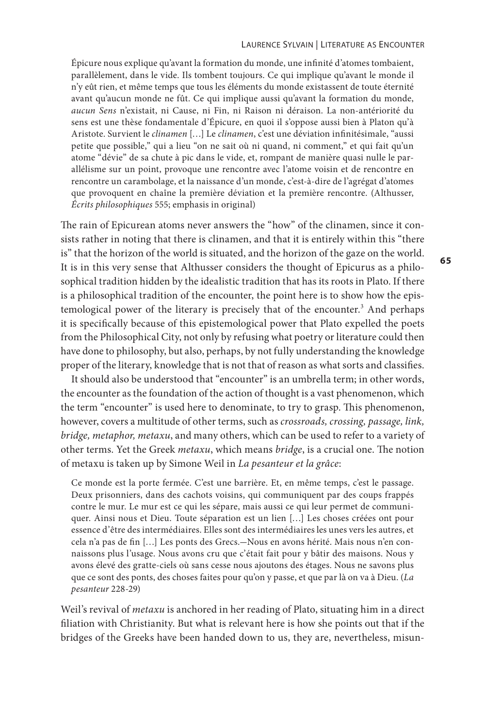#### Laurence Sylvain | Literature as Encounter

Épicure nous explique qu'avant la formation du monde, une infinité d'atomes tombaient, parallèlement, dans le vide. Ils tombent toujours. Ce qui implique qu'avant le monde il n'y eût rien, et même temps que tous les éléments du monde existassent de toute éternité avant qu'aucun monde ne fût. Ce qui implique aussi qu'avant la formation du monde, *aucun Sens* n'existait, ni Cause, ni Fin, ni Raison ni déraison. La non-antériorité du sens est une thèse fondamentale d'Épicure, en quoi il s'oppose aussi bien à Platon qu'à Aristote. Survient le *clinamen* […] Le *clinamen*, c'est une déviation infinitésimale, "aussi petite que possible," qui a lieu "on ne sait où ni quand, ni comment," et qui fait qu'un atome "dévie" de sa chute à pic dans le vide, et, rompant de manière quasi nulle le parallélisme sur un point, provoque une rencontre avec l'atome voisin et de rencontre en rencontre un carambolage, et la naissance d'un monde, c'est-à-dire de l'agrégat d'atomes que provoquent en chaîne la première déviation et la première rencontre. (Althusser, *Écrits philosophiques* 555; emphasis in original)

The rain of Epicurean atoms never answers the "how" of the clinamen, since it consists rather in noting that there is clinamen, and that it is entirely within this "there is" that the horizon of the world is situated, and the horizon of the gaze on the world. It is in this very sense that Althusser considers the thought of Epicurus as a philosophical tradition hidden by the idealistic tradition that has its roots in Plato. If there is a philosophical tradition of the encounter, the point here is to show how the epistemological power of the literary is precisely that of the encounter.<sup>3</sup> And perhaps it is specifically because of this epistemological power that Plato expelled the poets from the Philosophical City, not only by refusing what poetry or literature could then have done to philosophy, but also, perhaps, by not fully understanding the knowledge proper of the literary, knowledge that is not that of reason as what sorts and classifies.

It should also be understood that "encounter" is an umbrella term; in other words, the encounter as the foundation of the action of thought is a vast phenomenon, which the term "encounter" is used here to denominate, to try to grasp. This phenomenon, however, covers a multitude of other terms, such as *crossroads, crossing, passage, link, bridge, metaphor, metaxu*, and many others, which can be used to refer to a variety of other terms. Yet the Greek *metaxu*, which means *bridge*, is a crucial one. The notion of metaxu is taken up by Simone Weil in *La pesanteur et la grâce*:

Ce monde est la porte fermée. C'est une barrière. Et, en même temps, c'est le passage. Deux prisonniers, dans des cachots voisins, qui communiquent par des coups frappés contre le mur. Le mur est ce qui les sépare, mais aussi ce qui leur permet de communiquer. Ainsi nous et Dieu. Toute séparation est un lien […] Les choses créées ont pour essence d'être des intermédiaires. Elles sont des intermédiaires les unes vers les autres, et cela n'a pas de fin [...] Les ponts des Grecs.-Nous en avons hérité. Mais nous n'en connaissons plus l'usage. Nous avons cru que c'était fait pour y bâtir des maisons. Nous y avons élevé des gratte-ciels où sans cesse nous ajoutons des étages. Nous ne savons plus que ce sont des ponts, des choses faites pour qu'on y passe, et que par là on va à Dieu. (*La pesanteur* 228-29)

Weil's revival of *metaxu* is anchored in her reading of Plato, situating him in a direct filiation with Christianity. But what is relevant here is how she points out that if the bridges of the Greeks have been handed down to us, they are, nevertheless, misun-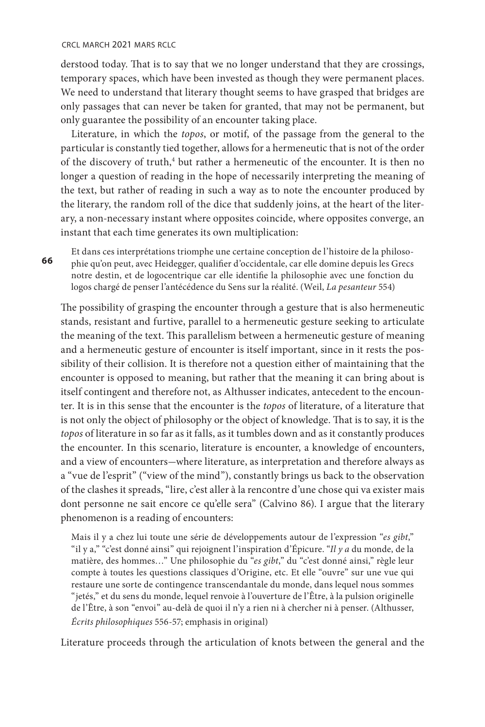#### crcl march 2021 mars rclc

**66** 

derstood today. That is to say that we no longer understand that they are crossings, temporary spaces, which have been invested as though they were permanent places. We need to understand that literary thought seems to have grasped that bridges are only passages that can never be taken for granted, that may not be permanent, but only guarantee the possibility of an encounter taking place.

Literature, in which the *topos*, or motif, of the passage from the general to the particular is constantly tied together, allows for a hermeneutic that is not of the order of the discovery of truth,<sup>4</sup> but rather a hermeneutic of the encounter. It is then no longer a question of reading in the hope of necessarily interpreting the meaning of the text, but rather of reading in such a way as to note the encounter produced by the literary, the random roll of the dice that suddenly joins, at the heart of the literary, a non-necessary instant where opposites coincide, where opposites converge, an instant that each time generates its own multiplication:

Et dans ces interprétations triomphe une certaine conception de l'histoire de la philosophie qu'on peut, avec Heidegger, qualifier d'occidentale, car elle domine depuis les Grecs notre destin, et de logocentrique car elle identifie la philosophie avec une fonction du logos chargé de penser l'antécédence du Sens sur la réalité. (Weil, *La pesanteur* 554)

The possibility of grasping the encounter through a gesture that is also hermeneutic stands, resistant and furtive, parallel to a hermeneutic gesture seeking to articulate the meaning of the text. This parallelism between a hermeneutic gesture of meaning and a hermeneutic gesture of encounter is itself important, since in it rests the possibility of their collision. It is therefore not a question either of maintaining that the encounter is opposed to meaning, but rather that the meaning it can bring about is itself contingent and therefore not, as Althusser indicates, antecedent to the encounter. It is in this sense that the encounter is the *topos* of literature, of a literature that is not only the object of philosophy or the object of knowledge. That is to say, it is the *topos* of literature in so far as it falls, as it tumbles down and as it constantly produces the encounter. In this scenario, literature is encounter, a knowledge of encounters, and a view of encounters-where literature, as interpretation and therefore always as a "vue de l'esprit" ("view of the mind"), constantly brings us back to the observation of the clashes it spreads, "lire, c'est aller à la rencontre d'une chose qui va exister mais dont personne ne sait encore ce qu'elle sera" (Calvino 86). I argue that the literary phenomenon is a reading of encounters:

Mais il y a chez lui toute une série de développements autour de l'expression "*es gibt*," "il y a," "c'est donné ainsi" qui rejoignent l'inspiration d'Épicure. "*Il y a* du monde, de la matière, des hommes…" Une philosophie du "*es gibt*," du "c'est donné ainsi," règle leur compte à toutes les questions classiques d'Origine, etc. Et elle "ouvre" sur une vue qui restaure une sorte de contingence transcendantale du monde, dans lequel nous sommes "jetés," et du sens du monde, lequel renvoie à l'ouverture de l'Être, à la pulsion originelle de l'Être, à son "envoi" au-delà de quoi il n'y a rien ni à chercher ni à penser. (Althusser, *Écrits philosophiques* 556-57; emphasis in original)

Literature proceeds through the articulation of knots between the general and the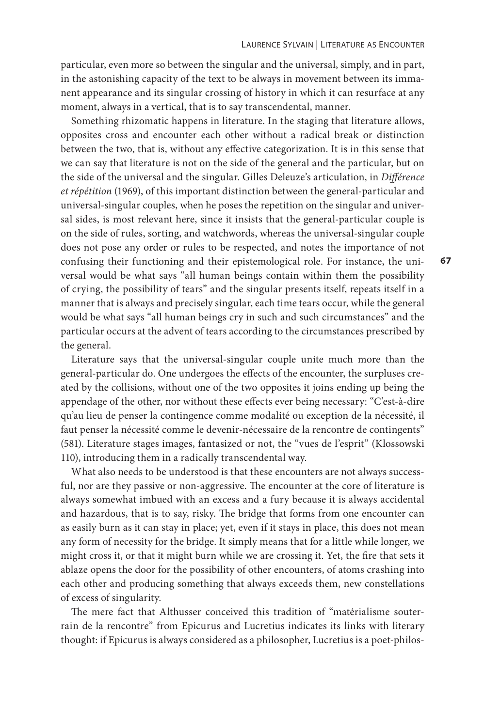particular, even more so between the singular and the universal, simply, and in part, in the astonishing capacity of the text to be always in movement between its immanent appearance and its singular crossing of history in which it can resurface at any moment, always in a vertical, that is to say transcendental, manner.

Something rhizomatic happens in literature. In the staging that literature allows, opposites cross and encounter each other without a radical break or distinction between the two, that is, without any effective categorization. It is in this sense that we can say that literature is not on the side of the general and the particular, but on the side of the universal and the singular. Gilles Deleuze's articulation, in *Différence et répétition* (1969), of this important distinction between the general-particular and universal-singular couples, when he poses the repetition on the singular and universal sides, is most relevant here, since it insists that the general-particular couple is on the side of rules, sorting, and watchwords, whereas the universal-singular couple does not pose any order or rules to be respected, and notes the importance of not confusing their functioning and their epistemological role. For instance, the universal would be what says "all human beings contain within them the possibility of crying, the possibility of tears" and the singular presents itself, repeats itself in a manner that is always and precisely singular, each time tears occur, while the general would be what says "all human beings cry in such and such circumstances" and the particular occurs at the advent of tears according to the circumstances prescribed by the general.

Literature says that the universal-singular couple unite much more than the general-particular do. One undergoes the effects of the encounter, the surpluses created by the collisions, without one of the two opposites it joins ending up being the appendage of the other, nor without these effects ever being necessary: "C'est-à-dire qu'au lieu de penser la contingence comme modalité ou exception de la nécessité, il faut penser la nécessité comme le devenir-nécessaire de la rencontre de contingents" (581). Literature stages images, fantasized or not, the "vues de l'esprit" (Klossowski 110), introducing them in a radically transcendental way.

What also needs to be understood is that these encounters are not always successful, nor are they passive or non-aggressive. The encounter at the core of literature is always somewhat imbued with an excess and a fury because it is always accidental and hazardous, that is to say, risky. The bridge that forms from one encounter can as easily burn as it can stay in place; yet, even if it stays in place, this does not mean any form of necessity for the bridge. It simply means that for a little while longer, we might cross it, or that it might burn while we are crossing it. Yet, the fire that sets it ablaze opens the door for the possibility of other encounters, of atoms crashing into each other and producing something that always exceeds them, new constellations of excess of singularity.

The mere fact that Althusser conceived this tradition of "matérialisme souterrain de la rencontre" from Epicurus and Lucretius indicates its links with literary thought: if Epicurus is always considered as a philosopher, Lucretius is a poet-philos-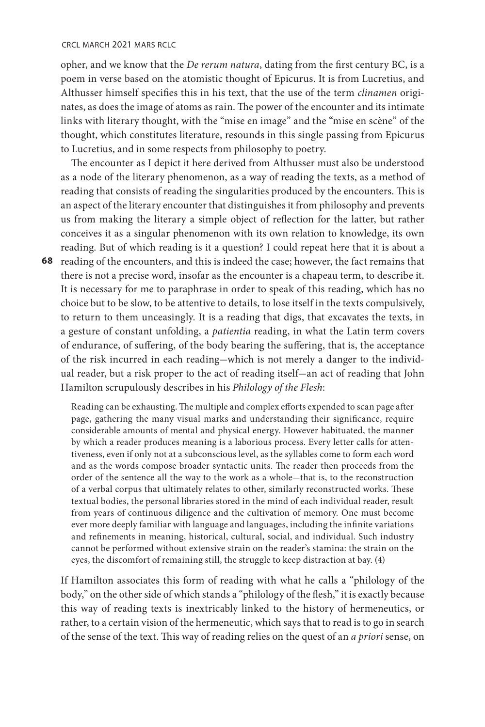#### crcl march 2021 mars rclc

opher, and we know that the *De rerum natura*, dating from the first century BC, is a poem in verse based on the atomistic thought of Epicurus. It is from Lucretius, and Althusser himself specifies this in his text, that the use of the term *clinamen* originates, as does the image of atoms as rain. The power of the encounter and its intimate links with literary thought, with the "mise en image" and the "mise en scène" of the thought, which constitutes literature, resounds in this single passing from Epicurus to Lucretius, and in some respects from philosophy to poetry.

**68**  reading of the encounters, and this is indeed the case; however, the fact remains that The encounter as I depict it here derived from Althusser must also be understood as a node of the literary phenomenon, as a way of reading the texts, as a method of reading that consists of reading the singularities produced by the encounters. This is an aspect of the literary encounter that distinguishes it from philosophy and prevents us from making the literary a simple object of reflection for the latter, but rather conceives it as a singular phenomenon with its own relation to knowledge, its own reading. But of which reading is it a question? I could repeat here that it is about a there is not a precise word, insofar as the encounter is a chapeau term, to describe it. It is necessary for me to paraphrase in order to speak of this reading, which has no choice but to be slow, to be attentive to details, to lose itself in the texts compulsively, to return to them unceasingly. It is a reading that digs, that excavates the texts, in a gesture of constant unfolding, a *patientia* reading, in what the Latin term covers of endurance, of suffering, of the body bearing the suffering, that is, the acceptance of the risk incurred in each reading-which is not merely a danger to the individual reader, but a risk proper to the act of reading itself-an act of reading that John Hamilton scrupulously describes in his *Philology of the Flesh*:

Reading can be exhausting. The multiple and complex efforts expended to scan page after page, gathering the many visual marks and understanding their significance, require considerable amounts of mental and physical energy. However habituated, the manner by which a reader produces meaning is a laborious process. Every letter calls for attentiveness, even if only not at a subconscious level, as the syllables come to form each word and as the words compose broader syntactic units. The reader then proceeds from the order of the sentence all the way to the work as a whole-that is, to the reconstruction of a verbal corpus that ultimately relates to other, similarly reconstructed works. These textual bodies, the personal libraries stored in the mind of each individual reader, result from years of continuous diligence and the cultivation of memory. One must become ever more deeply familiar with language and languages, including the infinite variations and refinements in meaning, historical, cultural, social, and individual. Such industry cannot be performed without extensive strain on the reader's stamina: the strain on the eyes, the discomfort of remaining still, the struggle to keep distraction at bay. (4)

If Hamilton associates this form of reading with what he calls a "philology of the body," on the other side of which stands a "philology of the flesh," it is exactly because this way of reading texts is inextricably linked to the history of hermeneutics, or rather, to a certain vision of the hermeneutic, which says that to read is to go in search of the sense of the text. This way of reading relies on the quest of an *a priori* sense, on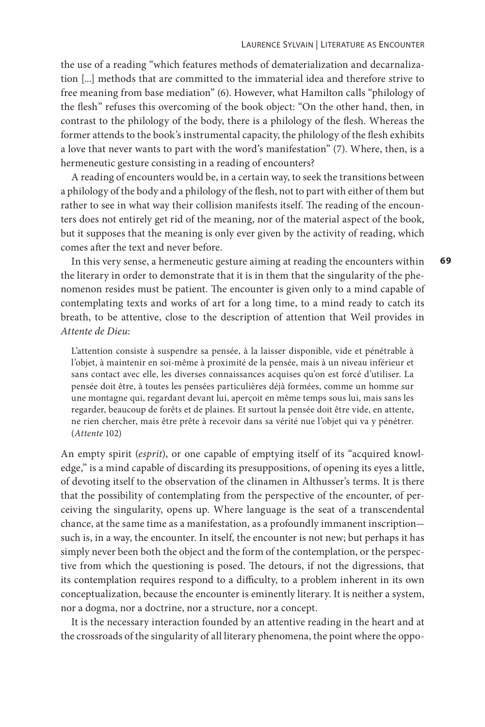the use of a reading "which features methods of dematerialization and decarnalization [...] methods that are committed to the immaterial idea and therefore strive to free meaning from base mediation" (6). However, what Hamilton calls "philology of the flesh" refuses this overcoming of the book object: "On the other hand, then, in contrast to the philology of the body, there is a philology of the flesh. Whereas the former attends to the book's instrumental capacity, the philology of the flesh exhibits a love that never wants to part with the word's manifestation" (7). Where, then, is a hermeneutic gesture consisting in a reading of encounters?

A reading of encounters would be, in a certain way, to seek the transitions between a philology of the body and a philology of the flesh, not to part with either of them but rather to see in what way their collision manifests itself. The reading of the encounters does not entirely get rid of the meaning, nor of the material aspect of the book, but it supposes that the meaning is only ever given by the activity of reading, which comes after the text and never before.

In this very sense, a hermeneutic gesture aiming at reading the encounters within the literary in order to demonstrate that it is in them that the singularity of the phenomenon resides must be patient. The encounter is given only to a mind capable of contemplating texts and works of art for a long time, to a mind ready to catch its breath, to be attentive, close to the description of attention that Weil provides in *Attente de Dieu*:

L'attention consiste à suspendre sa pensée, à la laisser disponible, vide et pénétrable à l'objet, à maintenir en soi-même à proximité de la pensée, mais à un niveau inférieur et sans contact avec elle, les diverses connaissances acquises qu'on est forcé d'utiliser. La pensée doit être, à toutes les pensées particulières déjà formées, comme un homme sur une montagne qui, regardant devant lui, aperçoit en même temps sous lui, mais sans les regarder, beaucoup de forêts et de plaines. Et surtout la pensée doit être vide, en attente, ne rien chercher, mais être prête à recevoir dans sa vérité nue l'objet qui va y pénétrer. (*Attente* 102)

An empty spirit (*esprit*), or one capable of emptying itself of its "acquired knowledge," is a mind capable of discarding its presuppositions, of opening its eyes a little, of devoting itself to the observation of the clinamen in Althusser's terms. It is there that the possibility of contemplating from the perspective of the encounter, of perceiving the singularity, opens up. Where language is the seat of a transcendental chance, at the same time as a manifestation, as a profoundly immanent inscriptionsuch is, in a way, the encounter. In itself, the encounter is not new; but perhaps it has simply never been both the object and the form of the contemplation, or the perspective from which the questioning is posed. The detours, if not the digressions, that its contemplation requires respond to a difficulty, to a problem inherent in its own conceptualization, because the encounter is eminently literary. It is neither a system, nor a dogma, nor a doctrine, nor a structure, nor a concept.

It is the necessary interaction founded by an attentive reading in the heart and at the crossroads of the singularity of all literary phenomena, the point where the oppo**69**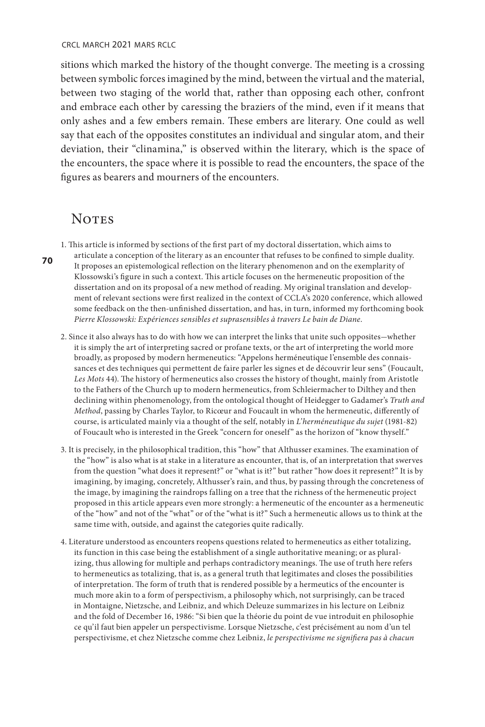sitions which marked the history of the thought converge. The meeting is a crossing between symbolic forces imagined by the mind, between the virtual and the material, between two staging of the world that, rather than opposing each other, confront and embrace each other by caressing the braziers of the mind, even if it means that only ashes and a few embers remain. These embers are literary. One could as well say that each of the opposites constitutes an individual and singular atom, and their deviation, their "clinamina," is observed within the literary, which is the space of the encounters, the space where it is possible to read the encounters, the space of the figures as bearers and mourners of the encounters.

## **NOTES**

1. This article is informed by sections of the first part of my doctoral dissertation, which aims to

articulate a conception of the literary as an encounter that refuses to be confined to simple duality. It proposes an epistemological reflection on the literary phenomenon and on the exemplarity of Klossowski's figure in such a context. This article focuses on the hermeneutic proposition of the dissertation and on its proposal of a new method of reading. My original translation and development of relevant sections were first realized in the context of CCLA's 2020 conference, which allowed some feedback on the then-unfinished dissertation, and has, in turn, informed my forthcoming book *Pierre Klossowski: Expériences sensibles et suprasensibles à travers Le bain de Diane*.

2. Since it also always has to do with how we can interpret the links that unite such opposites-whether it is simply the art of interpreting sacred or profane texts, or the art of interpreting the world more broadly, as proposed by modern hermeneutics: "Appelons herméneutique l'ensemble des connaissances et des techniques qui permettent de faire parler les signes et de découvrir leur sens" (Foucault, *Les Mots* 44). The history of hermeneutics also crosses the history of thought, mainly from Aristotle to the Fathers of the Church up to modern hermeneutics, from Schleiermacher to Dilthey and then declining within phenomenology, from the ontological thought of Heidegger to Gadamer's *Truth and Method*, passing by Charles Taylor, to Ricœur and Foucault in whom the hermeneutic, differently of course, is articulated mainly via a thought of the self, notably in *L'herméneutique du sujet* (1981-82) of Foucault who is interested in the Greek "concern for oneself" as the horizon of "know thyself."

- 3. It is precisely, in the philosophical tradition, this "how" that Althusser examines. The examination of the "how" is also what is at stake in a literature as encounter, that is, of an interpretation that swerves from the question "what does it represent?" or "what is it?" but rather "how does it represent?" It is by imagining, by imaging, concretely, Althusser's rain, and thus, by passing through the concreteness of the image, by imagining the raindrops falling on a tree that the richness of the hermeneutic project proposed in this article appears even more strongly: a hermeneutic of the encounter as a hermeneutic of the "how" and not of the "what" or of the "what is it?" Such a hermeneutic allows us to think at the same time with, outside, and against the categories quite radically.
- 4. Literature understood as encounters reopens questions related to hermeneutics as either totalizing, its function in this case being the establishment of a single authoritative meaning; or as pluralizing, thus allowing for multiple and perhaps contradictory meanings. The use of truth here refers to hermeneutics as totalizing, that is, as a general truth that legitimates and closes the possibilities of interpretation. The form of truth that is rendered possible by a hermeutics of the encounter is much more akin to a form of perspectivism, a philosophy which, not surprisingly, can be traced in Montaigne, Nietzsche, and Leibniz, and which Deleuze summarizes in his lecture on Leibniz and the fold of December 16, 1986: "Si bien que la théorie du point de vue introduit en philosophie ce qu'il faut bien appeler un perspectivisme. Lorsque Nietzsche, c'est précisément au nom d'un tel perspectivisme, et chez Nietzsche comme chez Leibniz, *le perspectivisme ne signifiera pas à chacun*

**70**